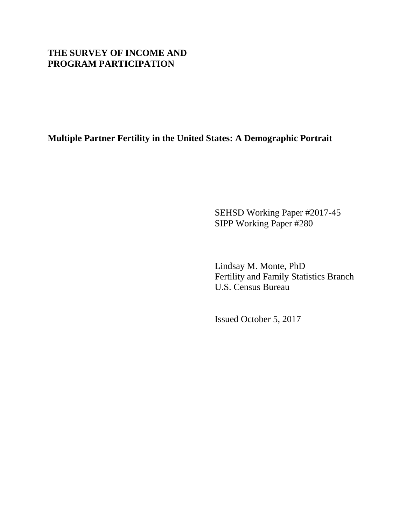# **THE SURVEY OF INCOME AND PROGRAM PARTICIPATION**

**Multiple Partner Fertility in the United States: A Demographic Portrait**

SEHSD Working Paper #2017-45 SIPP Working Paper #280

Lindsay M. Monte, PhD Fertility and Family Statistics Branch U.S. Census Bureau

Issued October 5, 2017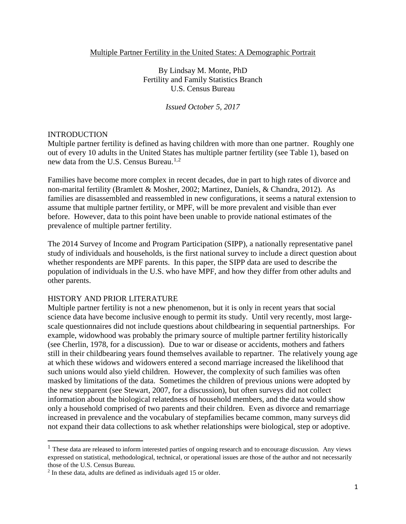## Multiple Partner Fertility in the United States: A Demographic Portrait

By Lindsay M. Monte, PhD Fertility and Family Statistics Branch U.S. Census Bureau

*Issued October 5, 2017*

### INTRODUCTION

 $\overline{\phantom{a}}$ 

Multiple partner fertility is defined as having children with more than one partner. Roughly one out of every 10 adults in the United States has multiple partner fertility (see Table 1), based on new data from the U.S. Census Bureau.<sup>[1](#page-1-0),[2](#page-1-1)</sup>

Families have become more complex in recent decades, due in part to high rates of divorce and non-marital fertility (Bramlett & Mosher, 2002; Martinez, Daniels, & Chandra, 2012). As families are disassembled and reassembled in new configurations, it seems a natural extension to assume that multiple partner fertility, or MPF, will be more prevalent and visible than ever before. However, data to this point have been unable to provide national estimates of the prevalence of multiple partner fertility.

The 2014 Survey of Income and Program Participation (SIPP), a nationally representative panel study of individuals and households, is the first national survey to include a direct question about whether respondents are MPF parents. In this paper, the SIPP data are used to describe the population of individuals in the U.S. who have MPF, and how they differ from other adults and other parents.

## HISTORY AND PRIOR LITERATURE

Multiple partner fertility is not a new phenomenon, but it is only in recent years that social science data have become inclusive enough to permit its study. Until very recently, most largescale questionnaires did not include questions about childbearing in sequential partnerships. For example, widowhood was probably the primary source of multiple partner fertility historically (see Cherlin, 1978, for a discussion). Due to war or disease or accidents, mothers and fathers still in their childbearing years found themselves available to repartner. The relatively young age at which these widows and widowers entered a second marriage increased the likelihood that such unions would also yield children. However, the complexity of such families was often masked by limitations of the data. Sometimes the children of previous unions were adopted by the new stepparent (see Stewart, 2007, for a discussion), but often surveys did not collect information about the biological relatedness of household members, and the data would show only a household comprised of two parents and their children. Even as divorce and remarriage increased in prevalence and the vocabulary of stepfamilies became common, many surveys did not expand their data collections to ask whether relationships were biological, step or adoptive.

<span id="page-1-0"></span> $<sup>1</sup>$  These data are released to inform interested parties of ongoing research and to encourage discussion. Any views</sup> expressed on statistical, methodological, technical, or operational issues are those of the author and not necessarily those of the U.S. Census Bureau.

<span id="page-1-1"></span><sup>2</sup> In these data, adults are defined as individuals aged 15 or older.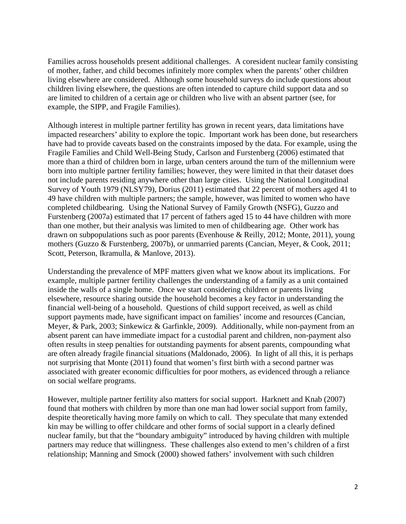Families across households present additional challenges. A coresident nuclear family consisting of mother, father, and child becomes infinitely more complex when the parents' other children living elsewhere are considered. Although some household surveys do include questions about children living elsewhere, the questions are often intended to capture child support data and so are limited to children of a certain age or children who live with an absent partner (see, for example, the SIPP, and Fragile Families).

Although interest in multiple partner fertility has grown in recent years, data limitations have impacted researchers' ability to explore the topic. Important work has been done, but researchers have had to provide caveats based on the constraints imposed by the data. For example, using the Fragile Families and Child Well-Being Study, Carlson and Furstenberg (2006) estimated that more than a third of children born in large, urban centers around the turn of the millennium were born into multiple partner fertility families; however, they were limited in that their dataset does not include parents residing anywhere other than large cities. Using the National Longitudinal Survey of Youth 1979 (NLSY79), Dorius (2011) estimated that 22 percent of mothers aged 41 to 49 have children with multiple partners; the sample, however, was limited to women who have completed childbearing. Using the National Survey of Family Growth (NSFG), Guzzo and Furstenberg (2007a) estimated that 17 percent of fathers aged 15 to 44 have children with more than one mother, but their analysis was limited to men of childbearing age. Other work has drawn on subpopulations such as poor parents (Evenhouse & Reilly, 2012; Monte, 2011), young mothers (Guzzo & Furstenberg, 2007b), or unmarried parents (Cancian, Meyer, & Cook, 2011; Scott, Peterson, Ikramulla, & Manlove, 2013).

Understanding the prevalence of MPF matters given what we know about its implications. For example, multiple partner fertility challenges the understanding of a family as a unit contained inside the walls of a single home. Once we start considering children or parents living elsewhere, resource sharing outside the household becomes a key factor in understanding the financial well-being of a household. Questions of child support received, as well as child support payments made, have significant impact on families' income and resources (Cancian, Meyer, & Park, 2003; Sinkewicz & Garfinkle, 2009). Additionally, while non-payment from an absent parent can have immediate impact for a custodial parent and children, non-payment also often results in steep penalties for outstanding payments for absent parents, compounding what are often already fragile financial situations (Maldonado, 2006). In light of all this, it is perhaps not surprising that Monte (2011) found that women's first birth with a second partner was associated with greater economic difficulties for poor mothers, as evidenced through a reliance on social welfare programs.

However, multiple partner fertility also matters for social support. Harknett and Knab (2007) found that mothers with children by more than one man had lower social support from family, despite theoretically having more family on which to call. They speculate that many extended kin may be willing to offer childcare and other forms of social support in a clearly defined nuclear family, but that the "boundary ambiguity" introduced by having children with multiple partners may reduce that willingness. These challenges also extend to men's children of a first relationship; Manning and Smock (2000) showed fathers' involvement with such children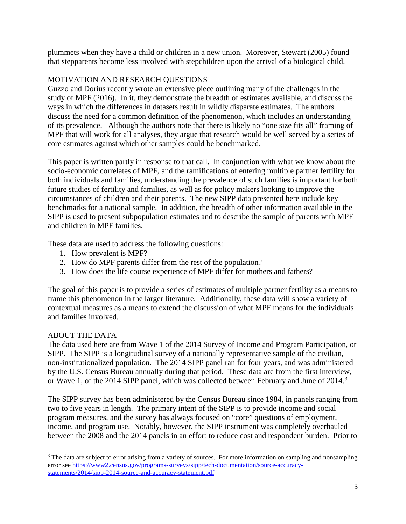plummets when they have a child or children in a new union. Moreover, Stewart (2005) found that stepparents become less involved with stepchildren upon the arrival of a biological child.

# MOTIVATION AND RESEARCH QUESTIONS

Guzzo and Dorius recently wrote an extensive piece outlining many of the challenges in the study of MPF (2016). In it, they demonstrate the breadth of estimates available, and discuss the ways in which the differences in datasets result in wildly disparate estimates. The authors discuss the need for a common definition of the phenomenon, which includes an understanding of its prevalence. Although the authors note that there is likely no "one size fits all" framing of MPF that will work for all analyses, they argue that research would be well served by a series of core estimates against which other samples could be benchmarked.

This paper is written partly in response to that call. In conjunction with what we know about the socio-economic correlates of MPF, and the ramifications of entering multiple partner fertility for both individuals and families, understanding the prevalence of such families is important for both future studies of fertility and families, as well as for policy makers looking to improve the circumstances of children and their parents. The new SIPP data presented here include key benchmarks for a national sample. In addition, the breadth of other information available in the SIPP is used to present subpopulation estimates and to describe the sample of parents with MPF and children in MPF families.

These data are used to address the following questions:

- 1. How prevalent is MPF?
- 2. How do MPF parents differ from the rest of the population?
- 3. How does the life course experience of MPF differ for mothers and fathers?

The goal of this paper is to provide a series of estimates of multiple partner fertility as a means to frame this phenomenon in the larger literature. Additionally, these data will show a variety of contextual measures as a means to extend the discussion of what MPF means for the individuals and families involved.

# ABOUT THE DATA

l

The data used here are from Wave 1 of the 2014 Survey of Income and Program Participation, or SIPP. The SIPP is a longitudinal survey of a nationally representative sample of the civilian, non-institutionalized population. The 2014 SIPP panel ran for four years, and was administered by the U.S. Census Bureau annually during that period. These data are from the first interview, or Wave 1, of the 2014 SIPP panel, which was collected between February and June of 2014.<sup>[3](#page-3-0)</sup>

The SIPP survey has been administered by the Census Bureau since 1984, in panels ranging from two to five years in length. The primary intent of the SIPP is to provide income and social program measures, and the survey has always focused on "core" questions of employment, income, and program use. Notably, however, the SIPP instrument was completely overhauled between the 2008 and the 2014 panels in an effort to reduce cost and respondent burden. Prior to

<span id="page-3-0"></span><sup>&</sup>lt;sup>3</sup> The data are subject to error arising from a variety of sources. For more information on sampling and nonsampling error see [https://www2.census.gov/programs-surveys/sipp/tech-documentation/source-accuracy](https://www2.census.gov/programs-surveys/sipp/tech-documentation/source-accuracy-statements/2014/sipp-2014-source-and-accuracy-statement.pdf)[statements/2014/sipp-2014-source-and-accuracy-statement.pdf](https://www2.census.gov/programs-surveys/sipp/tech-documentation/source-accuracy-statements/2014/sipp-2014-source-and-accuracy-statement.pdf)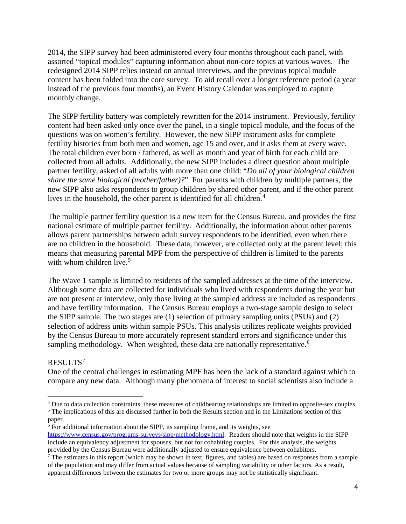2014, the SIPP survey had been administered every four months throughout each panel, with assorted "topical modules" capturing information about non-core topics at various waves. The redesigned 2014 SIPP relies instead on annual interviews, and the previous topical module content has been folded into the core survey. To aid recall over a longer reference period (a year instead of the previous four months), an Event History Calendar was employed to capture monthly change.

The SIPP fertility battery was completely rewritten for the 2014 instrument. Previously, fertility content had been asked only once over the panel, in a single topical module, and the focus of the questions was on women's fertility. However, the new SIPP instrument asks for complete fertility histories from both men and women, age 15 and over, and it asks them at every wave. The total children ever born / fathered, as well as month and year of birth for each child are collected from all adults. Additionally, the new SIPP includes a direct question about multiple partner fertility, asked of all adults with more than one child: "*Do all of your biological children share the same biological (mother/father)?*" For parents with children by multiple partners, the new SIPP also asks respondents to group children by shared other parent, and if the other parent lives in the household, the other parent is identified for all children.<sup>[4](#page-4-0)</sup>

The multiple partner fertility question is a new item for the Census Bureau, and provides the first national estimate of multiple partner fertility. Additionally, the information about other parents allows parent partnerships between adult survey respondents to be identified, even when there are no children in the household. These data, however, are collected only at the parent level; this means that measuring parental MPF from the perspective of children is limited to the parents with whom children live. $5$ 

The Wave 1 sample is limited to residents of the sampled addresses at the time of the interview. Although some data are collected for individuals who lived with respondents during the year but are not present at interview, only those living at the sampled address are included as respondents and have fertility information. The Census Bureau employs a two-stage sample design to select the SIPP sample. The two stages are (1) selection of primary sampling units (PSUs) and (2) selection of address units within sample PSUs. This analysis utilizes replicate weights provided by the Census Bureau to more accurately represent standard errors and significance under this sampling methodology. When weighted, these data are nationally representative.<sup>[6](#page-4-2)</sup>

# RESULTS[7](#page-4-3)

 $\overline{\phantom{a}}$ 

One of the central challenges in estimating MPF has been the lack of a standard against which to compare any new data. Although many phenomena of interest to social scientists also include a

<span id="page-4-0"></span><sup>&</sup>lt;sup>4</sup> Due to data collection constraints, these measures of childbearing relationships are limited to opposite-sex couples.

<span id="page-4-1"></span><sup>&</sup>lt;sup>5</sup> The implications of this are discussed further in both the Results section and in the Limitations section of this paper.

<span id="page-4-2"></span> $6$  For additional information about the SIPP, its sampling frame, and its weights, see [https://www.census.gov/programs-surveys/sipp/methodology.html.](https://www.census.gov/programs-surveys/sipp/methodology.html) Readers should note that weights in the SIPP include an equivalency adjustment for spouses, but not for cohabiting couples. For this analysis, the weights provided by the Census Bureau were additionally adjusted to ensure equivalence between cohabitors.

<span id="page-4-3"></span> $7$  The estimates in this report (which may be shown in text, figures, and tables) are based on responses from a sample of the population and may differ from actual values because of sampling variability or other factors. As a result, apparent differences between the estimates for two or more groups may not be statistically significant.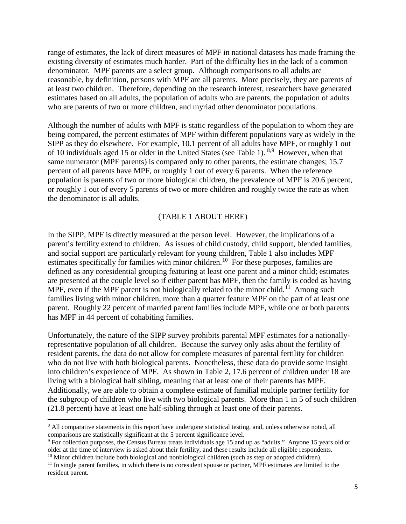range of estimates, the lack of direct measures of MPF in national datasets has made framing the existing diversity of estimates much harder. Part of the difficulty lies in the lack of a common denominator. MPF parents are a select group. Although comparisons to all adults are reasonable, by definition, persons with MPF are all parents. More precisely, they are parents of at least two children. Therefore, depending on the research interest, researchers have generated estimates based on all adults, the population of adults who are parents, the population of adults who are parents of two or more children, and myriad other denominator populations.

Although the number of adults with MPF is static regardless of the population to whom they are being compared, the percent estimates of MPF within different populations vary as widely in the SIPP as they do elsewhere. For example, 10.1 percent of all adults have MPF, or roughly 1 out of 10 individuals aged 15 or older in the United States (see Table 1). <sup>[8](#page-5-0),[9](#page-5-1)</sup> However, when that same numerator (MPF parents) is compared only to other parents, the estimate changes; 15.7 percent of all parents have MPF, or roughly 1 out of every 6 parents. When the reference population is parents of two or more biological children, the prevalence of MPF is 20.6 percent, or roughly 1 out of every 5 parents of two or more children and roughly twice the rate as when the denominator is all adults.

### (TABLE 1 ABOUT HERE)

In the SIPP, MPF is directly measured at the person level. However, the implications of a parent's fertility extend to children. As issues of child custody, child support, blended families, and social support are particularly relevant for young children, Table 1 also includes MPF estimates specifically for families with minor children.<sup>10</sup> For these purposes, families are defined as any coresidential grouping featuring at least one parent and a minor child; estimates are presented at the couple level so if either parent has MPF, then the family is coded as having MPF, even if the MPF parent is not biologically related to the minor child.<sup>[11](#page-5-3)</sup> Among such families living with minor children, more than a quarter feature MPF on the part of at least one parent. Roughly 22 percent of married parent families include MPF, while one or both parents has MPF in 44 percent of cohabiting families.

Unfortunately, the nature of the SIPP survey prohibits parental MPF estimates for a nationallyrepresentative population of all children. Because the survey only asks about the fertility of resident parents, the data do not allow for complete measures of parental fertility for children who do not live with both biological parents. Nonetheless, these data do provide some insight into children's experience of MPF. As shown in Table 2, 17.6 percent of children under 18 are living with a biological half sibling, meaning that at least one of their parents has MPF. Additionally, we are able to obtain a complete estimate of familial multiple partner fertility for the subgroup of children who live with two biological parents. More than 1 in 5 of such children (21.8 percent) have at least one half-sibling through at least one of their parents.

l

<span id="page-5-0"></span><sup>&</sup>lt;sup>8</sup> All comparative statements in this report have undergone statistical testing, and, unless otherwise noted, all comparisons are statistically significant at the 5 percent significance level. 9 For collection purposes, the Census Bureau treats individuals age 15 and up as "adults." Anyone 15 years old or

<span id="page-5-1"></span>older at the time of interview is asked about their fertility, and these results include all eligible respondents. <sup>10</sup> Minor children include both biological and nonbiological children (such as step or adopted children).

<span id="page-5-3"></span><span id="page-5-2"></span> $11$  In single parent families, in which there is no coresident spouse or partner, MPF estimates are limited to the resident parent.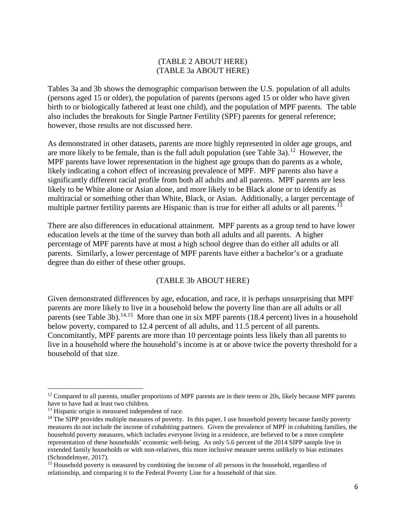## (TABLE 2 ABOUT HERE) (TABLE 3a ABOUT HERE)

Tables 3a and 3b shows the demographic comparison between the U.S. population of all adults (persons aged 15 or older), the population of parents (persons aged 15 or older who have given birth to or biologically fathered at least one child), and the population of MPF parents. The table also includes the breakouts for Single Partner Fertility (SPF) parents for general reference; however, those results are not discussed here.

As demonstrated in other datasets, parents are more highly represented in older age groups, and are more likely to be female, than is the full adult population (see Table 3a).<sup>12</sup> However, the MPF parents have lower representation in the highest age groups than do parents as a whole, likely indicating a cohort effect of increasing prevalence of MPF. MPF parents also have a significantly different racial profile from both all adults and all parents. MPF parents are less likely to be White alone or Asian alone, and more likely to be Black alone or to identify as multiracial or something other than White, Black, or Asian. Additionally, a larger percentage of multiple partner fertility parents are Hispanic than is true for either all adults or all parents.<sup>[13](#page-6-1)</sup>

There are also differences in educational attainment. MPF parents as a group tend to have lower education levels at the time of the survey than both all adults and all parents. A higher percentage of MPF parents have at most a high school degree than do either all adults or all parents. Similarly, a lower percentage of MPF parents have either a bachelor's or a graduate degree than do either of these other groups.

## (TABLE 3b ABOUT HERE)

Given demonstrated differences by age, education, and race, it is perhaps unsurprising that MPF parents are more likely to live in a household below the poverty line than are all adults or all parents (see Table 3b).<sup>[14,](#page-6-2)15</sup> More than one in six MPF parents (18.4 percent) lives in a household below poverty, compared to 12.4 percent of all adults, and 11.5 percent of all parents. Concomitantly, MPF parents are more than 10 percentage points less likely than all parents to live in a household where the household's income is at or above twice the poverty threshold for a household of that size.

 $\overline{\phantom{a}}$ 

<span id="page-6-0"></span><sup>&</sup>lt;sup>12</sup> Compared to all parents, smaller proportions of MPF parents are in their teens or 20s, likely because MPF parents have to have had at least two children.

<span id="page-6-1"></span><sup>&</sup>lt;sup>13</sup> Hispanic origin is measured independent of race.

<span id="page-6-2"></span><sup>&</sup>lt;sup>14</sup> The SIPP provides multiple measures of poverty. In this paper, I use household poverty because family poverty measures do not include the income of cohabiting partners. Given the prevalence of MPF in cohabiting families, the household poverty measures, which includes everyone living in a residence, are believed to be a more complete representation of these households' economic well-being. As only 5.6 percent of the 2014 SIPP sample live in extended family households or with non-relatives, this more inclusive measure seems unlikely to bias estimates (Schondelmyer, 2017).

<span id="page-6-3"></span><sup>&</sup>lt;sup>15</sup> Household poverty is measured by combining the income of all persons in the household, regardless of relationship, and comparing it to the Federal Poverty Line for a household of that size.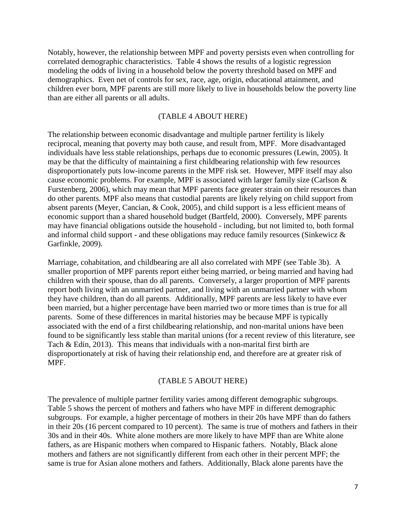Notably, however, the relationship between MPF and poverty persists even when controlling for correlated demographic characteristics. Table 4 shows the results of a logistic regression modeling the odds of living in a household below the poverty threshold based on MPF and demographics. Even net of controls for sex, race, age, origin, educational attainment, and children ever born, MPF parents are still more likely to live in households below the poverty line than are either all parents or all adults.

### (TABLE 4 ABOUT HERE)

The relationship between economic disadvantage and multiple partner fertility is likely reciprocal, meaning that poverty may both cause, and result from, MPF. More disadvantaged individuals have less stable relationships, perhaps due to economic pressures (Lewin, 2005). It may be that the difficulty of maintaining a first childbearing relationship with few resources disproportionately puts low-income parents in the MPF risk set. However, MPF itself may also cause economic problems. For example, MPF is associated with larger family size (Carlson & Furstenberg, 2006), which may mean that MPF parents face greater strain on their resources than do other parents. MPF also means that custodial parents are likely relying on child support from absent parents (Meyer, Cancian, & Cook, 2005), and child support is a less efficient means of economic support than a shared household budget (Bartfeld, 2000). Conversely, MPF parents may have financial obligations outside the household - including, but not limited to, both formal and informal child support - and these obligations may reduce family resources (Sinkewicz & Garfinkle, 2009).

Marriage, cohabitation, and childbearing are all also correlated with MPF (see Table 3b). A smaller proportion of MPF parents report either being married, or being married and having had children with their spouse, than do all parents. Conversely, a larger proportion of MPF parents report both living with an unmarried partner, and living with an unmarried partner with whom they have children, than do all parents. Additionally, MPF parents are less likely to have ever been married, but a higher percentage have been married two or more times than is true for all parents. Some of these differences in marital histories may be because MPF is typically associated with the end of a first childbearing relationship, and non-marital unions have been found to be significantly less stable than marital unions (for a recent review of this literature, see Tach & Edin, 2013). This means that individuals with a non-marital first birth are disproportionately at risk of having their relationship end, and therefore are at greater risk of MPF.

#### (TABLE 5 ABOUT HERE)

The prevalence of multiple partner fertility varies among different demographic subgroups. Table 5 shows the percent of mothers and fathers who have MPF in different demographic subgroups. For example, a higher percentage of mothers in their 20s have MPF than do fathers in their 20s (16 percent compared to 10 percent). The same is true of mothers and fathers in their 30s and in their 40s. White alone mothers are more likely to have MPF than are White alone fathers, as are Hispanic mothers when compared to Hispanic fathers. Notably, Black alone mothers and fathers are not significantly different from each other in their percent MPF; the same is true for Asian alone mothers and fathers. Additionally, Black alone parents have the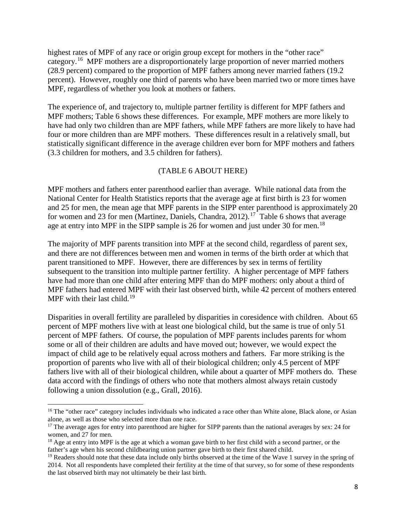highest rates of MPF of any race or origin group except for mothers in the "other race" category.[16](#page-8-0) MPF mothers are a disproportionately large proportion of never married mothers (28.9 percent) compared to the proportion of MPF fathers among never married fathers (19.2 percent). However, roughly one third of parents who have been married two or more times have MPF, regardless of whether you look at mothers or fathers.

The experience of, and trajectory to, multiple partner fertility is different for MPF fathers and MPF mothers; Table 6 shows these differences. For example, MPF mothers are more likely to have had only two children than are MPF fathers, while MPF fathers are more likely to have had four or more children than are MPF mothers. These differences result in a relatively small, but statistically significant difference in the average children ever born for MPF mothers and fathers (3.3 children for mothers, and 3.5 children for fathers).

## (TABLE 6 ABOUT HERE)

MPF mothers and fathers enter parenthood earlier than average. While national data from the National Center for Health Statistics reports that the average age at first birth is 23 for women and 25 for men, the mean age that MPF parents in the SIPP enter parenthood is approximately 20 for women and 23 for men (Martinez, Daniels, Chandra, 2012).<sup>17</sup> Table 6 shows that average age at entry into MPF in the SIPP sample is 26 for women and just under 30 for men.<sup>[18](#page-8-2)</sup>

The majority of MPF parents transition into MPF at the second child, regardless of parent sex, and there are not differences between men and women in terms of the birth order at which that parent transitioned to MPF. However, there are differences by sex in terms of fertility subsequent to the transition into multiple partner fertility. A higher percentage of MPF fathers have had more than one child after entering MPF than do MPF mothers: only about a third of MPF fathers had entered MPF with their last observed birth, while 42 percent of mothers entered MPF with their last child.<sup>19</sup>

Disparities in overall fertility are paralleled by disparities in coresidence with children. About 65 percent of MPF mothers live with at least one biological child, but the same is true of only 51 percent of MPF fathers. Of course, the population of MPF parents includes parents for whom some or all of their children are adults and have moved out; however, we would expect the impact of child age to be relatively equal across mothers and fathers. Far more striking is the proportion of parents who live with all of their biological children; only 4.5 percent of MPF fathers live with all of their biological children, while about a quarter of MPF mothers do. These data accord with the findings of others who note that mothers almost always retain custody following a union dissolution (e.g., Grall, 2016).

l

<span id="page-8-0"></span><sup>&</sup>lt;sup>16</sup> The "other race" category includes individuals who indicated a race other than White alone, Black alone, or Asian alone, as well as those who selected more than one race.

<span id="page-8-1"></span><sup>&</sup>lt;sup>17</sup> The average ages for entry into parenthood are higher for SIPP parents than the national averages by sex: 24 for women, and  $27$  for men.

<span id="page-8-2"></span><sup>&</sup>lt;sup>18</sup> Age at entry into MPF is the age at which a woman gave birth to her first child with a second partner, or the father's age when his second childbearing union partner gave birth to their first shared child.

<span id="page-8-3"></span> $19$  Readers should note that these data include only births observed at the time of the Wave 1 survey in the spring of 2014. Not all respondents have completed their fertility at the time of that survey, so for some of these respondents the last observed birth may not ultimately be their last birth.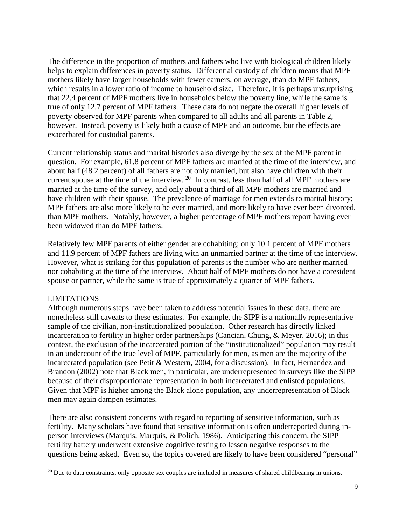The difference in the proportion of mothers and fathers who live with biological children likely helps to explain differences in poverty status. Differential custody of children means that MPF mothers likely have larger households with fewer earners, on average, than do MPF fathers, which results in a lower ratio of income to household size. Therefore, it is perhaps unsurprising that 22.4 percent of MPF mothers live in households below the poverty line, while the same is true of only 12.7 percent of MPF fathers. These data do not negate the overall higher levels of poverty observed for MPF parents when compared to all adults and all parents in Table 2, however. Instead, poverty is likely both a cause of MPF and an outcome, but the effects are exacerbated for custodial parents.

Current relationship status and marital histories also diverge by the sex of the MPF parent in question. For example, 61.8 percent of MPF fathers are married at the time of the interview, and about half (48.2 percent) of all fathers are not only married, but also have children with their current spouse at the time of the interview.  $^{20}$  In contrast, less than half of all MPF mothers are married at the time of the survey, and only about a third of all MPF mothers are married and have children with their spouse. The prevalence of marriage for men extends to marital history; MPF fathers are also more likely to be ever married, and more likely to have ever been divorced, than MPF mothers. Notably, however, a higher percentage of MPF mothers report having ever been widowed than do MPF fathers.

Relatively few MPF parents of either gender are cohabiting; only 10.1 percent of MPF mothers and 11.9 percent of MPF fathers are living with an unmarried partner at the time of the interview. However, what is striking for this population of parents is the number who are neither married nor cohabiting at the time of the interview. About half of MPF mothers do not have a coresident spouse or partner, while the same is true of approximately a quarter of MPF fathers.

# LIMITATIONS

l

Although numerous steps have been taken to address potential issues in these data, there are nonetheless still caveats to these estimates. For example, the SIPP is a nationally representative sample of the civilian, non-institutionalized population. Other research has directly linked incarceration to fertility in higher order partnerships (Cancian, Chung, & Meyer, 2016); in this context, the exclusion of the incarcerated portion of the "institutionalized" population may result in an undercount of the true level of MPF, particularly for men, as men are the majority of the incarcerated population (see Petit & Western, 2004, for a discussion). In fact, Hernandez and Brandon (2002) note that Black men, in particular, are underrepresented in surveys like the SIPP because of their disproportionate representation in both incarcerated and enlisted populations. Given that MPF is higher among the Black alone population, any underrepresentation of Black men may again dampen estimates.

There are also consistent concerns with regard to reporting of sensitive information, such as fertility. Many scholars have found that sensitive information is often underreported during inperson interviews (Marquis, Marquis, & Polich, 1986). Anticipating this concern, the SIPP fertility battery underwent extensive cognitive testing to lessen negative responses to the questions being asked. Even so, the topics covered are likely to have been considered "personal"

<span id="page-9-0"></span> $20$  Due to data constraints, only opposite sex couples are included in measures of shared childbearing in unions.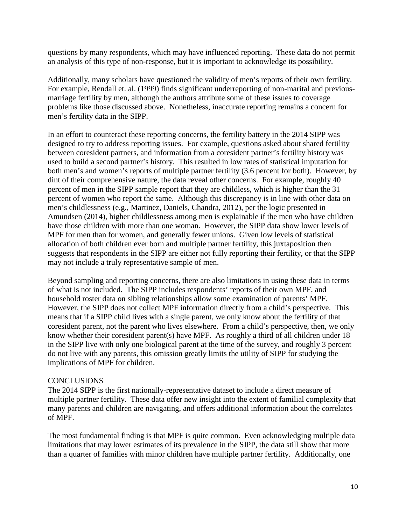questions by many respondents, which may have influenced reporting. These data do not permit an analysis of this type of non-response, but it is important to acknowledge its possibility.

Additionally, many scholars have questioned the validity of men's reports of their own fertility. For example, Rendall et. al. (1999) finds significant underreporting of non-marital and previousmarriage fertility by men, although the authors attribute some of these issues to coverage problems like those discussed above. Nonetheless, inaccurate reporting remains a concern for men's fertility data in the SIPP.

In an effort to counteract these reporting concerns, the fertility battery in the 2014 SIPP was designed to try to address reporting issues. For example, questions asked about shared fertility between coresident partners, and information from a coresident partner's fertility history was used to build a second partner's history. This resulted in low rates of statistical imputation for both men's and women's reports of multiple partner fertility (3.6 percent for both). However, by dint of their comprehensive nature, the data reveal other concerns. For example, roughly 40 percent of men in the SIPP sample report that they are childless, which is higher than the 31 percent of women who report the same. Although this discrepancy is in line with other data on men's childlessness (e.g., Martinez, Daniels, Chandra, 2012), per the logic presented in Amundsen (2014), higher childlessness among men is explainable if the men who have children have those children with more than one woman. However, the SIPP data show lower levels of MPF for men than for women, and generally fewer unions. Given low levels of statistical allocation of both children ever born and multiple partner fertility, this juxtaposition then suggests that respondents in the SIPP are either not fully reporting their fertility, or that the SIPP may not include a truly representative sample of men.

Beyond sampling and reporting concerns, there are also limitations in using these data in terms of what is not included. The SIPP includes respondents' reports of their own MPF, and household roster data on sibling relationships allow some examination of parents' MPF. However, the SIPP does not collect MPF information directly from a child's perspective. This means that if a SIPP child lives with a single parent, we only know about the fertility of that coresident parent, not the parent who lives elsewhere. From a child's perspective, then, we only know whether their coresident parent(s) have MPF. As roughly a third of all children under 18 in the SIPP live with only one biological parent at the time of the survey, and roughly 3 percent do not live with any parents, this omission greatly limits the utility of SIPP for studying the implications of MPF for children.

## CONCLUSIONS

The 2014 SIPP is the first nationally-representative dataset to include a direct measure of multiple partner fertility. These data offer new insight into the extent of familial complexity that many parents and children are navigating, and offers additional information about the correlates of MPF.

The most fundamental finding is that MPF is quite common. Even acknowledging multiple data limitations that may lower estimates of its prevalence in the SIPP, the data still show that more than a quarter of families with minor children have multiple partner fertility. Additionally, one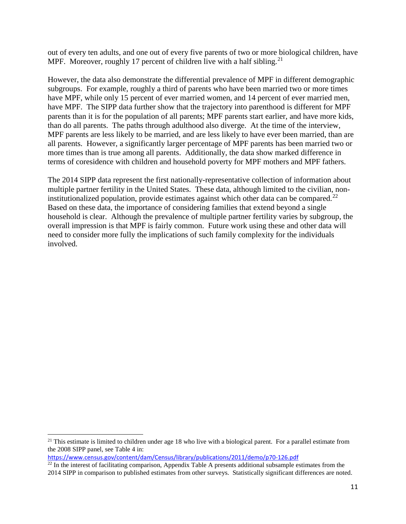out of every ten adults, and one out of every five parents of two or more biological children, have MPF. Moreover, roughly 17 percent of children live with a half sibling.<sup>[21](#page-11-0)</sup>

However, the data also demonstrate the differential prevalence of MPF in different demographic subgroups. For example, roughly a third of parents who have been married two or more times have MPF, while only 15 percent of ever married women, and 14 percent of ever married men, have MPF. The SIPP data further show that the trajectory into parenthood is different for MPF parents than it is for the population of all parents; MPF parents start earlier, and have more kids, than do all parents. The paths through adulthood also diverge. At the time of the interview, MPF parents are less likely to be married, and are less likely to have ever been married, than are all parents. However, a significantly larger percentage of MPF parents has been married two or more times than is true among all parents. Additionally, the data show marked difference in terms of coresidence with children and household poverty for MPF mothers and MPF fathers.

The 2014 SIPP data represent the first nationally-representative collection of information about multiple partner fertility in the United States. These data, although limited to the civilian, noninstitutionalized population, provide estimates against which other data can be compared.<sup>22</sup> Based on these data, the importance of considering families that extend beyond a single household is clear. Although the prevalence of multiple partner fertility varies by subgroup, the overall impression is that MPF is fairly common. Future work using these and other data will need to consider more fully the implications of such family complexity for the individuals involved.

 $\overline{\phantom{a}}$ 

<span id="page-11-0"></span><sup>&</sup>lt;sup>21</sup> This estimate is limited to children under age 18 who live with a biological parent. For a parallel estimate from the 2008 SIPP panel, see Table 4 in:

<https://www.census.gov/content/dam/Census/library/publications/2011/demo/p70-126.pdf>

<span id="page-11-1"></span> $22$  In the interest of facilitating comparison, Appendix Table A presents additional subsample estimates from the 2014 SIPP in comparison to published estimates from other surveys. Statistically significant differences are noted.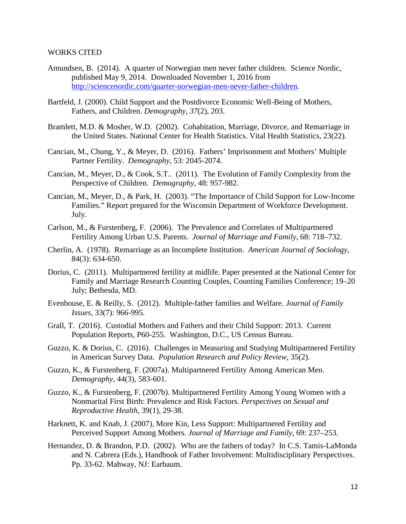#### WORKS CITED

- Amundsen, B. (2014). A quarter of Norwegian men never father children. Science Nordic, published May 9, 2014. Downloaded November 1, 2016 from [http://sciencenordic.com/quarter-norwegian-men-never-father-children.](http://sciencenordic.com/quarter-norwegian-men-never-father-children)
- Bartfeld, J. (2000). Child Support and the Postdivorce Economic Well-Being of Mothers, Fathers, and Children. *Demography, 37*(2), 203.
- Bramlett, M.D. & Mosher, W.D. (2002). Cohabitation, Marriage, Divorce, and Remarriage in the United States. National Center for Health Statistics. Vital Health Statistics, 23(22).
- Cancian, M., Chung, Y., & Meyer, D. (2016). Fathers' Imprisonment and Mothers' Multiple Partner Fertility. *Demography*, 53: 2045-2074.
- Cancian, M., Meyer, D., & Cook, S.T.. (2011). The Evolution of Family Complexity from the Perspective of Children. *Demography*, 48: 957-982.
- Cancian, M., Meyer, D., & Park, H. (2003). "The Importance of Child Support for Low-Income Families." Report prepared for the Wisconsin Department of Workforce Development. July.
- Carlson, M., & Furstenberg, F. (2006). The Prevalence and Correlates of Multipartnered Fertility Among Urban U.S. Parents. *Journal of Marriage and Family*, 68: 718–732.
- Cherlin, A. (1978). Remarriage as an Incomplete Institution. *American Journal of Sociology*, 84(3): 634-650.
- Dorius, C. (2011). Multipartnered fertility at midlife. Paper presented at the National Center for Family and Marriage Research Counting Couples, Counting Families Conference; 19–20 July; Bethesda, MD.
- Evenhouse, E. & Reilly, S. (2012). Multiple-father families and Welfare. *Journal of Family Issues*, 33(7): 966-995.
- Grall, T. (2016). Custodial Mothers and Fathers and their Child Support: 2013. Current Population Reports, P60-255. Washington, D.C., US Census Bureau.
- Guzzo, K. & Dorius, C. (2016). Challenges in Measuring and Studying Multipartnered Fertility in American Survey Data. *Population Research and Policy Review*, 35(2).
- Guzzo, K., & Furstenberg, F. (2007a). Multipartnered Fertility Among American Men. *Demography*, 44(3), 583-601.
- Guzzo, K., & Furstenberg, F. (2007b). Multipartnered Fertility Among Young Women with a Nonmarital First Birth: Prevalence and Risk Factors. *Perspectives on Sexual and Reproductive Health*, 39(1), 29-38.
- Harknett, K. and Knab, J. (2007), More Kin, Less Support: Multipartnered Fertility and Perceived Support Among Mothers. *Journal of Marriage and Family*, 69: 237–253.
- Hernandez, D. & Brandon, P.D. (2002). Who are the fathers of today? In C.S. Tamis-LaMonda and N. Cabrera (Eds.), Handbook of Father Involvement: Multidisciplinary Perspectives. Pp. 33-62. Mahway, NJ: Earbaum.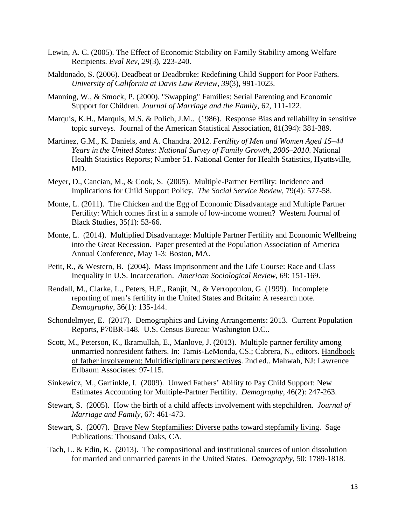- Lewin, A. C. (2005). The Effect of Economic Stability on Family Stability among Welfare Recipients. *Eval Rev, 29*(3), 223-240.
- Maldonado, S. (2006). Deadbeat or Deadbroke: Redefining Child Support for Poor Fathers. *University of California at Davis Law Review, 39*(3), 991-1023.
- Manning, W., & Smock, P. (2000). "Swapping" Families: Serial Parenting and Economic Support for Children. *Journal of Marriage and the Family*, 62, 111-122.
- Marquis, K.H., Marquis, M.S. & Polich, J.M.. (1986). Response Bias and reliability in sensitive topic surveys. Journal of the American Statistical Association, 81(394): 381-389.
- Martinez, G.M., K. Daniels, and A. Chandra. 2012. *Fertility of Men and Women Aged 15–44 Years in the United States: National Survey of Family Growth, 2006–2010*. National Health Statistics Reports; Number 51. National Center for Health Statistics, Hyattsville, MD.
- Meyer, D., Cancian, M., & Cook, S. (2005). Multiple-Partner Fertility: Incidence and Implications for Child Support Policy. *The Social Service Review,* 79(4): 577-58.
- Monte, L. (2011). The Chicken and the Egg of Economic Disadvantage and Multiple Partner Fertility: Which comes first in a sample of low-income women? Western Journal of Black Studies, 35(1): 53-66.
- Monte, L. (2014). Multiplied Disadvantage: Multiple Partner Fertility and Economic Wellbeing into the Great Recession. Paper presented at the Population Association of America Annual Conference, May 1-3: Boston, MA.
- Petit, R., & Western, B. (2004). Mass Imprisonment and the Life Course: Race and Class Inequality in U.S. Incarceration. *American Sociological Review*, 69: 151-169.
- Rendall, M., Clarke, L., Peters, H.E., Ranjit, N., & Verropoulou, G. (1999). Incomplete reporting of men's fertility in the United States and Britain: A research note. *Demography*, 36(1): 135-144.
- Schondelmyer, E. (2017). Demographics and Living Arrangements: 2013. Current Population Reports, P70BR-148. U.S. Census Bureau: Washington D.C..
- Scott, M., Peterson, K., Ikramullah, E., Manlove, J. (2013). Multiple partner fertility among unmarried nonresident fathers. In: Tamis-LeMonda, CS.; Cabrera, N., editors. Handbook of father involvement: Multidisciplinary perspectives. 2nd ed.. Mahwah, NJ: Lawrence Erlbaum Associates: 97-115.
- Sinkewicz, M., Garfinkle, I. (2009). Unwed Fathers' Ability to Pay Child Support: New Estimates Accounting for Multiple-Partner Fertility. *Demography*, 46(2): 247-263.
- Stewart, S. (2005). How the birth of a child affects involvement with stepchildren. *Journal of Marriage and Family*, 67: 461-473.
- Stewart, S. (2007). Brave New Stepfamilies: Diverse paths toward stepfamily living. Sage Publications: Thousand Oaks, CA.
- Tach, L. & Edin, K. (2013). The compositional and institutional sources of union dissolution for married and unmarried parents in the United States. *Demography*, 50: 1789-1818.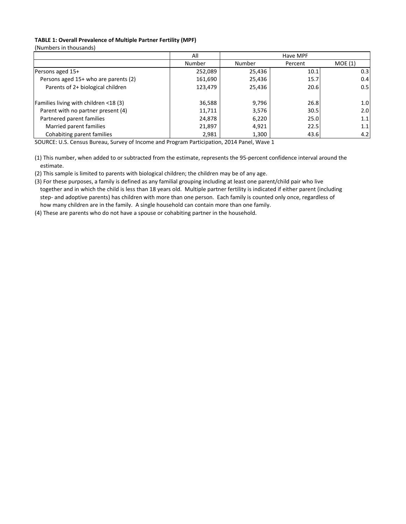#### **TABLE 1: Overall Prevalence of Multiple Partner Fertility (MPF)**

(Numbers in thousands)

|                                       | All     | Have MPF |         |        |  |  |
|---------------------------------------|---------|----------|---------|--------|--|--|
|                                       | Number  | Number   | Percent | MOE(1) |  |  |
| Persons aged 15+                      | 252,089 | 25,436   | 10.1    | 0.3    |  |  |
| Persons aged 15+ who are parents (2)  | 161,690 | 25,436   | 15.7    | 0.4    |  |  |
| Parents of 2+ biological children     | 123,479 | 25,436   | 20.6    | 0.5    |  |  |
| Families living with children <18 (3) | 36,588  | 9,796    | 26.8    | 1.0    |  |  |
| Parent with no partner present (4)    | 11,711  | 3,576    | 30.5    | 2.0    |  |  |
| Partnered parent families             | 24,878  | 6,220    | 25.0    | 1.1    |  |  |
| Married parent families               | 21,897  | 4,921    | 22.5    | 1.1    |  |  |
| Cohabiting parent families            | 2,981   | 1,300    | 43.6    | 4.2    |  |  |

SOURCE: U.S. Census Bureau, Survey of Income and Program Participation, 2014 Panel, Wave 1

(1) This number, when added to or subtracted from the estimate, represents the 95-percent confidence interval around the estimate.

(2) This sample is limited to parents with biological children; the children may be of any age.

(3) For these purposes, a family is defined as any familial grouping including at least one parent/child pair who live together and in which the child is less than 18 years old. Multiple partner fertility is indicated if either parent (including step- and adoptive parents) has children with more than one person. Each family is counted only once, regardless of how many children are in the family. A single household can contain more than one family.

(4) These are parents who do not have a spouse or cohabiting partner in the household.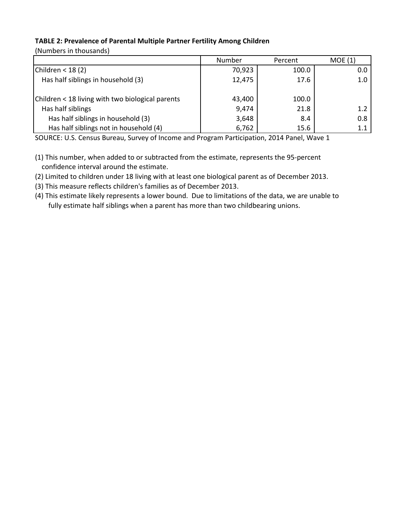# **TABLE 2: Prevalence of Parental Multiple Partner Fertility Among Children**

(Numbers in thousands)

|                                                  | Number | Percent | MOE(1)  |
|--------------------------------------------------|--------|---------|---------|
| Children < $18(2)$                               | 70,923 | 100.0   | 0.0     |
| Has half siblings in household (3)               | 12,475 | 17.6    | 1.0     |
| Children < 18 living with two biological parents | 43,400 | 100.0   |         |
| Has half siblings                                | 9,474  | 21.8    | 1.2     |
| Has half siblings in household (3)               | 3,648  | 8.4     | 0.8     |
| Has half siblings not in household (4)           | 6,762  | 15.6    | $1.1\,$ |

SOURCE: U.S. Census Bureau, Survey of Income and Program Participation, 2014 Panel, Wave 1

- (1) This number, when added to or subtracted from the estimate, represents the 95-percent confidence interval around the estimate.
- (2) Limited to children under 18 living with at least one biological parent as of December 2013.
- (3) This measure reflects children's families as of December 2013.
- (4) This estimate likely represents a lower bound. Due to limitations of the data, we are unable to fully estimate half siblings when a parent has more than two childbearing unions.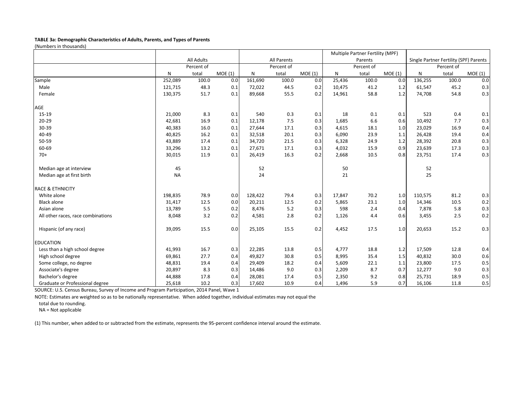#### **TABLE 3a: Demographic Characteristics of Adults, Parents, and Types of Parents**

(Numbers in thousands)

|                                    |           |                   |        |         |             |        |        | Multiple Partner Fertility (MPF) |        |         |                                        |        |
|------------------------------------|-----------|-------------------|--------|---------|-------------|--------|--------|----------------------------------|--------|---------|----------------------------------------|--------|
|                                    |           | <b>All Adults</b> |        |         | All Parents |        |        | Parents                          |        |         | Single Partner Fertility (SPF) Parents |        |
|                                    |           | Percent of        |        |         | Percent of  |        |        | Percent of                       |        |         | Percent of                             |        |
|                                    | N         | total             | MOE(1) | N       | total       | MOE(1) | N      | total                            | MOE(1) | N       | total                                  | MOE(1) |
| Sample                             | 252,089   | 100.0             | 0.0    | 161,690 | 100.0       | 0.0    | 25,436 | 100.0                            | 0.0    | 136,255 | 100.0                                  | 0.0    |
| Male                               | 121,715   | 48.3              | 0.1    | 72,022  | 44.5        | 0.2    | 10,475 | 41.2                             | 1.2    | 61,547  | 45.2                                   | 0.3    |
| Female                             | 130,375   | 51.7              | 0.1    | 89,668  | 55.5        | 0.2    | 14,961 | 58.8                             | 1.2    | 74,708  | 54.8                                   | 0.3    |
| AGE                                |           |                   |        |         |             |        |        |                                  |        |         |                                        |        |
| 15-19                              | 21,000    | 8.3               | 0.1    | 540     | 0.3         | 0.1    | 18     | 0.1                              | 0.1    | 523     | 0.4                                    | 0.1    |
| $20 - 29$                          | 42,681    | 16.9              | 0.1    | 12,178  | 7.5         | 0.3    | 1,685  | 6.6                              | 0.6    | 10,492  | 7.7                                    | 0.3    |
| 30-39                              | 40,383    | 16.0              | 0.1    | 27,644  | 17.1        | 0.3    | 4,615  | 18.1                             | 1.0    | 23,029  | 16.9                                   | 0.4    |
| 40-49                              | 40,825    | 16.2              | 0.1    | 32,518  | 20.1        | 0.3    | 6,090  | 23.9                             | 1.1    | 26,428  | 19.4                                   | 0.4    |
| 50-59                              | 43,889    | 17.4              | 0.1    | 34,720  | 21.5        | 0.3    | 6,328  | 24.9                             | 1.2    | 28,392  | 20.8                                   | 0.3    |
| 60-69                              | 33,296    | 13.2              | 0.1    | 27,671  | 17.1        | 0.3    | 4,032  | 15.9                             | 0.9    | 23,639  | 17.3                                   | 0.3    |
| $70+$                              | 30,015    | 11.9              | 0.1    | 26,419  | 16.3        | 0.2    | 2,668  | 10.5                             | 0.8    | 23,751  | 17.4                                   | 0.3    |
| Median age at interview            | 45        |                   |        | 52      |             |        | 50     |                                  |        | 52      |                                        |        |
| Median age at first birth          | <b>NA</b> |                   |        | 24      |             |        | 21     |                                  |        | 25      |                                        |        |
| <b>RACE &amp; ETHNICITY</b>        |           |                   |        |         |             |        |        |                                  |        |         |                                        |        |
| White alone                        | 198,835   | 78.9              | 0.0    | 128,422 | 79.4        | 0.3    | 17,847 | 70.2                             | 1.0    | 110,575 | 81.2                                   | 0.3    |
| <b>Black alone</b>                 | 31,417    | 12.5              | 0.0    | 20,211  | 12.5        | 0.2    | 5,865  | 23.1                             | 1.0    | 14,346  | 10.5                                   | 0.2    |
| Asian alone                        | 13,789    | 5.5               | 0.2    | 8.476   | 5.2         | 0.3    | 598    | 2.4                              | 0.4    | 7,878   | 5.8                                    | 0.3    |
| All other races, race combinations | 8,048     | 3.2               | 0.2    | 4,581   | 2.8         | 0.2    | 1,126  | 4.4                              | 0.6    | 3,455   | 2.5                                    | 0.2    |
| Hispanic (of any race)             | 39,095    | 15.5              | 0.0    | 25,105  | 15.5        | 0.2    | 4,452  | 17.5                             | 1.0    | 20,653  | 15.2                                   | 0.3    |
| <b>EDUCATION</b>                   |           |                   |        |         |             |        |        |                                  |        |         |                                        |        |
| Less than a high school degree     | 41,993    | 16.7              | 0.3    | 22,285  | 13.8        | 0.5    | 4,777  | 18.8                             | 1.2    | 17,509  | 12.8                                   | 0.4    |
| High school degree                 | 69,861    | 27.7              | 0.4    | 49,827  | 30.8        | 0.5    | 8,995  | 35.4                             | 1.5    | 40,832  | 30.0                                   | 0.6    |
| Some college, no degree            | 48,831    | 19.4              | 0.4    | 29,409  | 18.2        | 0.4    | 5,609  | 22.1                             | 1.1    | 23,800  | 17.5                                   | 0.5    |
| Associate's degree                 | 20,897    | 8.3               | 0.3    | 14,486  | 9.0         | 0.3    | 2,209  | 8.7                              | 0.7    | 12,277  | 9.0                                    | 0.3    |
| Bachelor's degree                  | 44,888    | 17.8              | 0.4    | 28,081  | 17.4        | 0.5    | 2,350  | 9.2                              | 0.8    | 25,731  | 18.9                                   | 0.5    |
| Graduate or Professional degree    | 25,618    | 10.2              | 0.3    | 17,602  | 10.9        | 0.4    | 1,496  | 5.9                              | 0.7    | 16,106  | 11.8                                   | 0.5    |

SOURCE: U.S. Census Bureau, Survey of Income and Program Participation, 2014 Panel, Wave 1

NOTE: Estimates are weighted so as to be nationally representative. When added together, individual estimates may not equal the

total due to rounding.

NA = Not applicable

(1) This number, when added to or subtracted from the estimate, represents the 95-percent confidence interval around the estimate.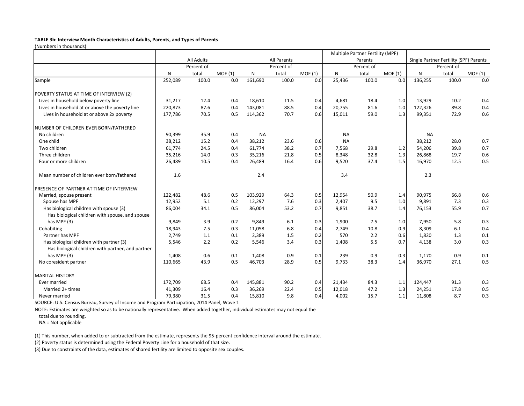#### **TABLE 3b: Interview Month Characteristics of Adults, Parents, and Types of Parents**

(Numbers in thousands)

|                                                                                            |         |                   |        |           |             |        |           | Multiple Partner Fertility (MPF) |        |           |                                        |        |
|--------------------------------------------------------------------------------------------|---------|-------------------|--------|-----------|-------------|--------|-----------|----------------------------------|--------|-----------|----------------------------------------|--------|
|                                                                                            |         | <b>All Adults</b> |        |           | All Parents |        |           | Parents                          |        |           | Single Partner Fertility (SPF) Parents |        |
|                                                                                            |         | Percent of        |        |           | Percent of  |        |           | Percent of                       |        |           | Percent of                             |        |
|                                                                                            | N       | total             | MOE(1) | N         | total       | MOE(1) | N         | total                            | MOE(1) | N         | total                                  | MOE(1) |
| Sample                                                                                     | 252,089 | 100.0             | 0.0    | 161,690   | 100.0       | 0.0    | 25,436    | 100.0                            | 0.0    | 136,255   | 100.0                                  | 0.0    |
| POVERTY STATUS AT TIME OF INTERVIEW (2)                                                    |         |                   |        |           |             |        |           |                                  |        |           |                                        |        |
| Lives in household below poverty line                                                      | 31,217  | 12.4              | 0.4    | 18,610    | 11.5        | 0.4    | 4,681     | 18.4                             | 1.0    | 13,929    | 10.2                                   | 0.4    |
| Lives in household at or above the poverty line                                            | 220,873 | 87.6              | 0.4    | 143,081   | 88.5        | 0.4    | 20,755    | 81.6                             | 1.0    | 122,326   | 89.8                                   | 0.4    |
| Lives in household at or above 2x poverty                                                  | 177,786 | 70.5              | 0.5    | 114,362   | 70.7        | 0.6    | 15,011    | 59.0                             | 1.3    | 99,351    | 72.9                                   | 0.6    |
| NUMBER OF CHILDREN EVER BORN/FATHERED                                                      |         |                   |        |           |             |        |           |                                  |        |           |                                        |        |
| No children                                                                                | 90,399  | 35.9              | 0.4    | <b>NA</b> |             |        | <b>NA</b> |                                  |        | <b>NA</b> |                                        |        |
| One child                                                                                  | 38,212  | 15.2              | 0.4    | 38,212    | 23.6        | 0.6    | <b>NA</b> |                                  |        | 38,212    | 28.0                                   | 0.7    |
| Two children                                                                               | 61,774  | 24.5              | 0.4    | 61,774    | 38.2        | 0.7    | 7,568     | 29.8                             | 1.2    | 54.206    | 39.8                                   | 0.7    |
| Three children                                                                             | 35,216  | 14.0              | 0.3    | 35,216    | 21.8        | 0.5    | 8,348     | 32.8                             | 1.3    | 26,868    | 19.7                                   | 0.6    |
| Four or more children                                                                      | 26,489  | 10.5              | 0.4    | 26,489    | 16.4        | 0.6    | 9,520     | 37.4                             | 1.5    | 16,970    | 12.5                                   | 0.5    |
| Mean number of children ever born/fathered                                                 | 1.6     |                   |        | 2.4       |             |        | 3.4       |                                  |        | 2.3       |                                        |        |
| PRESENCE OF PARTNER AT TIME OF INTERVIEW                                                   |         |                   |        |           |             |        |           |                                  |        |           |                                        |        |
| Married, spouse present                                                                    | 122,482 | 48.6              | 0.5    | 103,929   | 64.3        | 0.5    | 12,954    | 50.9                             | 1.4    | 90,975    | 66.8                                   | 0.6    |
| Spouse has MPF                                                                             | 12,952  | 5.1               | 0.2    | 12,297    | 7.6         | 0.3    | 2,407     | 9.5                              | 1.0    | 9,891     | 7.3                                    | 0.3    |
| Has biological children with spouse (3)<br>Has biological children with spouse, and spouse | 86,004  | 34.1              | 0.5    | 86,004    | 53.2        | 0.7    | 9,851     | 38.7                             | 1.4    | 76,153    | 55.9                                   | 0.7    |
| has MPF (3)                                                                                | 9,849   | 3.9               | 0.2    | 9.849     | 6.1         | 0.3    | 1,900     | 7.5                              | 1.0    | 7,950     | 5.8                                    | 0.3    |
| Cohabiting                                                                                 | 18,943  | 7.5               | 0.3    | 11,058    | 6.8         | 0.4    | 2,749     | 10.8                             | 0.9    | 8,309     | 6.1                                    | 0.4    |
| Partner has MPF                                                                            | 2,749   | 1.1               | 0.1    | 2,389     | 1.5         | 0.2    | 570       | 2.2                              | 0.6    | 1,820     | 1.3                                    | 0.1    |
| Has biological children with partner (3)                                                   | 5,546   | 2.2               | 0.2    | 5,546     | 3.4         | 0.3    | 1,408     | 5.5                              | 0.7    | 4,138     | 3.0                                    | 0.3    |
| Has biological children with partner, and partner                                          |         |                   |        |           |             |        |           |                                  |        |           |                                        |        |
| has MPF (3)                                                                                | 1,408   | 0.6               | 0.1    | 1,408     | 0.9         | 0.1    | 239       | 0.9                              | 0.3    | 1,170     | 0.9                                    | 0.1    |
| No coresident partner                                                                      | 110,665 | 43.9              | 0.5    | 46,703    | 28.9        | 0.5    | 9,733     | 38.3                             | 1.4    | 36,970    | 27.1                                   | 0.5    |
| <b>MARITAL HISTORY</b>                                                                     |         |                   |        |           |             |        |           |                                  |        |           |                                        |        |
| Ever married                                                                               | 172,709 | 68.5              | 0.4    | 145,881   | 90.2        | 0.4    | 21,434    | 84.3                             | 1.1    | 124,447   | 91.3                                   | 0.3    |
| Married 2+ times                                                                           | 41,309  | 16.4              | 0.3    | 36,269    | 22.4        | 0.5    | 12,018    | 47.2                             | 1.3    | 24,251    | 17.8                                   | 0.5    |
| Never married                                                                              | 79,380  | 31.5              | 0.4    | 15,810    | 9.8         | 0.4    | 4,002     | 15.7                             | 1.1    | 11,808    | 8.7                                    | 0.3    |

SOURCE: U.S. Census Bureau, Survey of Income and Program Participation, 2014 Panel, Wave 1

NOTE: Estimates are weighted so as to be nationally representative. When added together, individual estimates may not equal the

total due to rounding.

NA = Not applicable

(1) This number, when added to or subtracted from the estimate, represents the 95-percent confidence interval around the estimate.

(2) Poverty status is determined using the Federal Poverty Line for a household of that size.

(3) Due to constraints of the data, estimates of shared fertility are limited to opposite sex couples.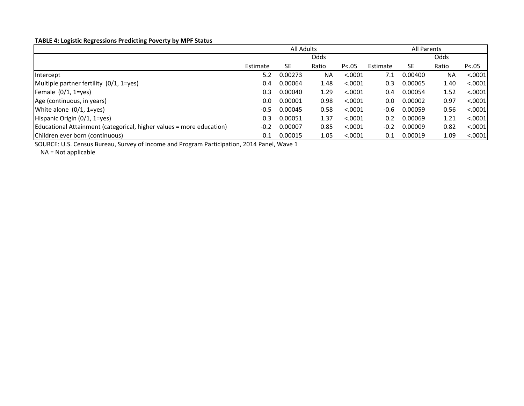#### **TABLE 4: Logistic Regressions Predicting Poverty by MPF Status**

|                                                                      | All Adults |         |           |          | <b>All Parents</b> |           |           |          |
|----------------------------------------------------------------------|------------|---------|-----------|----------|--------------------|-----------|-----------|----------|
|                                                                      |            |         | Odds      |          | Odds               |           |           |          |
|                                                                      | Estimate   | SE      | Ratio     | P < .05  | Estimate           | <b>SE</b> | Ratio     | P < 0.05 |
| Intercept                                                            | 5.2        | 0.00273 | <b>NA</b> | < .0001  | 7.1                | 0.00400   | <b>NA</b> | < .0001  |
| Multiple partner fertility (0/1, 1=yes)                              | 0.4        | 0.00064 | 1.48      | < 0.0001 | 0.3                | 0.00065   | 1.40      | < .0001  |
| Female $(0/1, 1 = yes)$                                              | 0.3        | 0.00040 | 1.29      | < .0001  | 0.4                | 0.00054   | 1.52      | < .0001  |
| Age (continuous, in years)                                           | 0.0        | 0.00001 | 0.98      | < .0001  | 0.0                | 0.00002   | 0.97      | < .0001  |
| White alone $(0/1, 1 = yes)$                                         | $-0.5$     | 0.00045 | 0.58      | < .0001  | $-0.6$             | 0.00059   | 0.56      | < .0001  |
| Hispanic Origin (0/1, 1=yes)                                         | 0.3        | 0.00051 | 1.37      | < .0001  | 0.2                | 0.00069   | 1.21      | < .0001  |
| Educational Attainment (categorical, higher values = more education) | $-0.2$     | 0.00007 | 0.85      | < .0001  | $-0.2$             | 0.00009   | 0.82      | < .0001  |
| Children ever born (continuous)                                      | 0.1        | 0.00015 | 1.05      | < .0001  | 0.1                | 0.00019   | 1.09      | < .0001  |

SOURCE: U.S. Census Bureau, Survey of Income and Program Participation, 2014 Panel, Wave 1

NA = Not applicable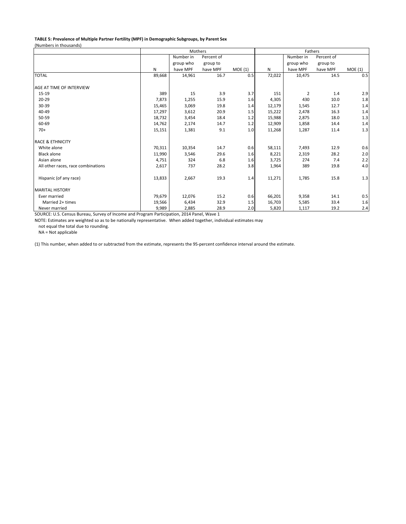#### **TABLE 5: Prevalence of Multiple Partner Fertility (MPF) in Demographic Subgroups, by Parent Sex** (Numbers in thousands)

|                                    |        | Mothers   |            |        |              | Fathers   |            |        |  |  |
|------------------------------------|--------|-----------|------------|--------|--------------|-----------|------------|--------|--|--|
|                                    |        | Number in | Percent of |        |              | Number in | Percent of |        |  |  |
|                                    |        | group who | group to   |        |              | group who | group to   |        |  |  |
|                                    | N      | have MPF  | have MPF   | MOE(1) | $\mathsf{N}$ | have MPF  | have MPF   | MOE(1) |  |  |
| <b>TOTAL</b>                       | 89,668 | 14,961    | 16.7       | 0.5    | 72,022       | 10,475    | 14.5       | 0.5    |  |  |
| AGE AT TIME OF INTERVIEW           |        |           |            |        |              |           |            |        |  |  |
| 15-19                              | 389    | 15        | 3.9        | 3.7    | 151          | 2         | 1.4        | 2.9    |  |  |
| $20 - 29$                          | 7,873  | 1,255     | 15.9       | 1.6    | 4,305        | 430       | 10.0       | 1.8    |  |  |
| 30-39                              | 15,465 | 3,069     | 19.8       | 1.4    | 12,179       | 1,545     | 12.7       | 1.4    |  |  |
| 40-49                              | 17,297 | 3,612     | 20.9       | 1.5    | 15,222       | 2,478     | 16.3       | 1.4    |  |  |
| 50-59                              | 18,732 | 3,454     | 18.4       | 1.2    | 15,988       | 2,875     | 18.0       | 1.3    |  |  |
| 60-69                              | 14,762 | 2,174     | 14.7       | 1.2    | 12,909       | 1,858     | 14.4       | 1.4    |  |  |
| $70+$                              | 15,151 | 1,381     | 9.1        | 1.0    | 11,268       | 1,287     | 11.4       | 1.3    |  |  |
| <b>RACE &amp; ETHNICITY</b>        |        |           |            |        |              |           |            |        |  |  |
| White alone                        | 70,311 | 10,354    | 14.7       | 0.6    | 58,111       | 7,493     | 12.9       | 0.6    |  |  |
| <b>Black alone</b>                 | 11,990 | 3,546     | 29.6       | 1.6    | 8,221        | 2,319     | 28.2       | 2.0    |  |  |
| Asian alone                        | 4,751  | 324       | 6.8        | 1.6    | 3,725        | 274       | 7.4        | 2.2    |  |  |
| All other races, race combinations | 2,617  | 737       | 28.2       | 3.8    | 1,964        | 389       | 19.8       | 4.0    |  |  |
| Hispanic (of any race)             | 13,833 | 2,667     | 19.3       | 1.4    | 11,271       | 1,785     | 15.8       | 1.3    |  |  |
| <b>MARITAL HISTORY</b>             |        |           |            |        |              |           |            |        |  |  |
| Ever married                       | 79,679 | 12,076    | 15.2       | 0.6    | 66,201       | 9,358     | 14.1       | 0.5    |  |  |
| Married 2+ times                   | 19,566 | 6,434     | 32.9       | 1.5    | 16,703       | 5,585     | 33.4       | 1.6    |  |  |
| Never married                      | 9,989  | 2,885     | 28.9       | 2.0    | 5,820        | 1,117     | 19.2       | 2.4    |  |  |

SOURCE: U.S. Census Bureau, Survey of Income and Program Participation, 2014 Panel, Wave 1

NOTE: Estimates are weighted so as to be nationally representative. When added together, individual estimates may

not equal the total due to rounding.

NA = Not applicable

(1) This number, when added to or subtracted from the estimate, represents the 95-percent confidence interval around the estimate.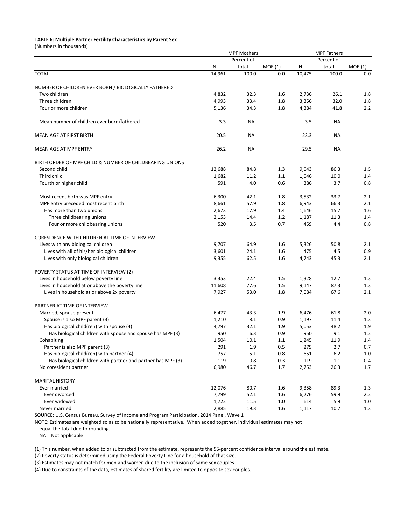#### **TABLE 6: Multiple Partner Fertility Characteristics by Parent Sex**

(Numbers in thousands)

|                                                              |        | <b>MPF Mothers</b> |         |        | <b>MPF Fathers</b> |         |  |  |
|--------------------------------------------------------------|--------|--------------------|---------|--------|--------------------|---------|--|--|
|                                                              |        | Percent of         |         |        | Percent of         |         |  |  |
|                                                              | N      | total              | MOE(1)  | N      | total              | MOE(1)  |  |  |
| <b>TOTAL</b>                                                 | 14,961 | 100.0              | 0.0     | 10,475 | 100.0              | 0.0     |  |  |
| NUMBER OF CHILDREN EVER BORN / BIOLOGICALLY FATHERED         |        |                    |         |        |                    |         |  |  |
| Two children                                                 | 4,832  | 32.3               | 1.6     | 2,736  | 26.1               | 1.8     |  |  |
| Three children                                               | 4,993  | 33.4               | $1.8\,$ | 3,356  | 32.0               | 1.8     |  |  |
| Four or more children                                        | 5,136  | 34.3               | 1.8     | 4,384  | 41.8               | 2.2     |  |  |
| Mean number of children ever born/fathered                   | 3.3    | ΝA                 |         | 3.5    | <b>NA</b>          |         |  |  |
| MEAN AGE AT FIRST BIRTH                                      | 20.5   | ΝA                 |         | 23.3   | <b>NA</b>          |         |  |  |
| MEAN AGE AT MPF ENTRY                                        | 26.2   | <b>NA</b>          |         | 29.5   | <b>NA</b>          |         |  |  |
| BIRTH ORDER OF MPF CHILD & NUMBER OF CHILDBEARING UNIONS     |        |                    |         |        |                    |         |  |  |
| Second child                                                 | 12,688 | 84.8               | 1.3     | 9,043  | 86.3               | 1.5     |  |  |
| Third child                                                  | 1,682  | 11.2               | 1.1     | 1,046  | 10.0               | 1.4     |  |  |
| Fourth or higher child                                       | 591    | 4.0                | 0.6     | 386    | 3.7                | 0.8     |  |  |
| Most recent birth was MPF entry                              | 6,300  | 42.1               | 1.8     | 3,532  | 33.7               | 2.1     |  |  |
| MPF entry preceded most recent birth                         | 8,661  | 57.9               | 1.8     | 6,943  | 66.3               | 2.1     |  |  |
| Has more than two unions                                     | 2,673  | 17.9               | 1.4     | 1,646  | 15.7               | 1.6     |  |  |
| Three childbearing unions                                    | 2,153  | 14.4               | 1.2     | 1,187  | 11.3               | 1.4     |  |  |
| Four or more childbearing unions                             | 520    | 3.5                | 0.7     | 459    | 4.4                | 0.8     |  |  |
| CORESIDENCE WITH CHILDREN AT TIME OF INTERVIEW               |        |                    |         |        |                    |         |  |  |
| Lives with any biological children                           | 9,707  | 64.9               | 1.6     | 5,326  | 50.8               | 2.1     |  |  |
| Lives with all of his/her biological children                | 3,601  | 24.1               | 1.6     | 475    | 4.5                | 0.9     |  |  |
| Lives with only biological children                          | 9,355  | 62.5               | 1.6     | 4,743  | 45.3               | 2.1     |  |  |
| POVERTY STATUS AT TIME OF INTERVIEW (2)                      |        |                    |         |        |                    |         |  |  |
| Lives in household below poverty line                        | 3,353  | 22.4               | 1.5     | 1,328  | 12.7               | 1.3     |  |  |
| Lives in household at or above the poverty line              | 11,608 | 77.6               | 1.5     | 9,147  | 87.3               | 1.3     |  |  |
| Lives in household at or above 2x poverty                    | 7,927  | 53.0               | 1.8     | 7,084  | 67.6               | 2.1     |  |  |
| PARTNER AT TIME OF INTERVIEW                                 |        |                    |         |        |                    |         |  |  |
| Married, spouse present                                      | 6,477  | 43.3               | 1.9     | 6,476  | 61.8               | 2.0     |  |  |
| Spouse is also MPF parent (3)                                | 1,210  | 8.1                | 0.9     | 1,197  | 11.4               | 1.3     |  |  |
| Has biological child(ren) with spouse (4)                    | 4,797  | 32.1               | 1.9     | 5,053  | 48.2               | 1.9     |  |  |
| Has biological children with spouse and spouse has MPF (3)   | 950    | 6.3                | 0.9     | 950    | 9.1                | 1.2     |  |  |
| Cohabiting                                                   | 1,504  | 10.1               | 1.1     | 1,245  | 11.9               | 1.4     |  |  |
| Partner is also MPF parent (3)                               | 291    | 1.9                | 0.5     | 279    | 2.7                | $0.7\,$ |  |  |
| Has biological child(ren) with partner (4)                   | 757    | 5.1                | 0.8     | 651    | 6.2                | $1.0\,$ |  |  |
| Has biological children with partner and partner has MPF (3) | 119    | 0.8                | 0.3     | 119    | 1.1                | 0.4     |  |  |
| No coresident partner                                        | 6,980  | 46.7               | 1.7     | 2,753  | 26.3               | $1.7\,$ |  |  |
| <b>MARITAL HISTORY</b>                                       |        |                    |         |        |                    |         |  |  |
| Ever married                                                 | 12,076 | 80.7               | 1.6     | 9,358  | 89.3               | 1.3     |  |  |
| Ever divorced                                                | 7,799  | 52.1               | $1.6\,$ | 6,276  | 59.9               | 2.2     |  |  |
| Ever widowed                                                 | 1,722  | 11.5               | $1.0\,$ | 614    | 5.9                | $1.0\,$ |  |  |
| Never married                                                | 2,885  | 19.3               | 1.6     | 1,117  | $10.7\,$           | 1.3     |  |  |

SOURCE: U.S. Census Bureau, Survey of Income and Program Participation, 2014 Panel, Wave 1

NOTE: Estimates are weighted so as to be nationally representative. When added together, individual estimates may not

equal the total due to rounding.

NA = Not applicable

(1) This number, when added to or subtracted from the estimate, represents the 95-percent confidence interval around the estimate.

(2) Poverty status is determined using the Federal Poverty Line for a household of that size.

(3) Estimates may not match for men and women due to the inclusion of same sex couples.

(4) Due to constraints of the data, estimates of shared fertility are limited to opposite sex couples.